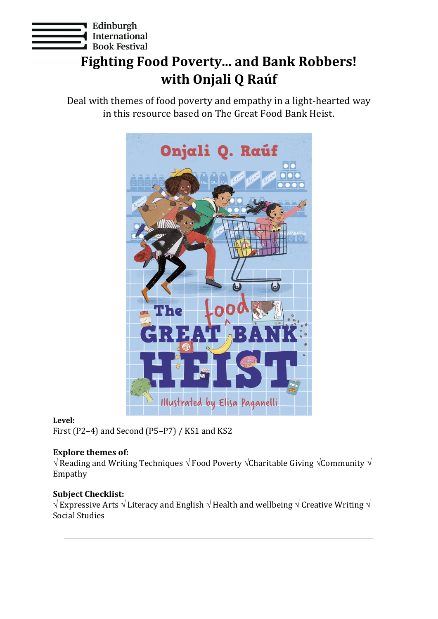

# **Fighting Food Poverty... and Bank Robbers! with Onjali Q Raúf**

Deal with themes of food poverty and empathy in a light-hearted way in this resource based on The Great Food Bank Heist.



# **Level:**

First (P2–4) and Second (P5–P7) / KS1 and KS2

# **Explore themes of:**

 $\sqrt{R}$  Reading and Writing Techniques  $\sqrt{F}$  Food Poverty  $\sqrt{F}$ Charitable Giving  $\sqrt{F}$ Community  $\sqrt{F}$ Empathy

# **Subject Checklist:**

 $\sqrt{E}$  Expressive Arts  $\sqrt{E}$  Literacy and English  $\sqrt{E}$  Health and wellbeing  $\sqrt{E}$  Creative Writing  $\sqrt{E}$ Social Studies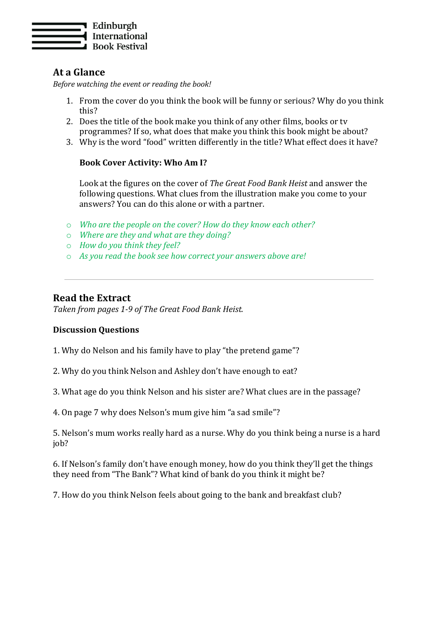

# **At a Glance**

*Before watching the event or reading the book!*

- 1. From the cover do you think the book will be funny or serious? Why do you think this?
- 2. Does the title of the book make you think of any other films, books or tv programmes? If so, what does that make you think this book might be about?
- 3. Why is the word "food" written differently in the title? What effect does it have?

#### **Book Cover Activity: Who Am I?**

Look at the figures on the cover of *The Great Food Bank Heist* and answer the following questions. What clues from the illustration make you come to your answers? You can do this alone or with a partner.

- o *Who are the people on the cover? How do they know each other?*
- o *Where are they and what are they doing?*
- o *How do you think they feel?*
- o *As you read the book see how correct your answers above are!*

#### **Read the Extract**

*Taken from pages 1-9 of The Great Food Bank Heist.*

#### **Discussion Questions**

1. Why do Nelson and his family have to play "the pretend game"?

2. Why do you think Nelson and Ashley don't have enough to eat?

3. What age do you think Nelson and his sister are? What clues are in the passage?

4. On page 7 why does Nelson's mum give him "a sad smile"?

5. Nelson's mum works really hard as a nurse. Why do you think being a nurse is a hard job?

6. If Nelson's family don't have enough money, how do you think they'll get the things they need from "The Bank"? What kind of bank do you think it might be?

7. How do you think Nelson feels about going to the bank and breakfast club?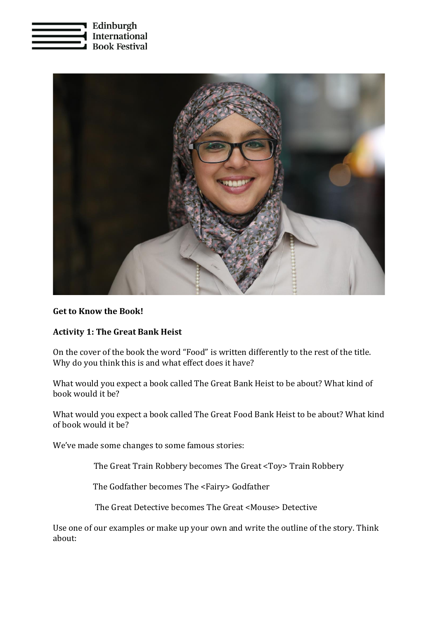



#### **Get to Know the Book!**

#### **Activity 1: The Great Bank Heist**

On the cover of the book the word "Food" is written differently to the rest of the title. Why do you think this is and what effect does it have?

What would you expect a book called The Great Bank Heist to be about? What kind of book would it be?

What would you expect a book called The Great Food Bank Heist to be about? What kind of book would it be?

We've made some changes to some famous stories:

The Great Train Robbery becomes The Great <Toy> Train Robbery

The Godfather becomes The <Fairy> Godfather

The Great Detective becomes The Great <Mouse> Detective

Use one of our examples or make up your own and write the outline of the story. Think about: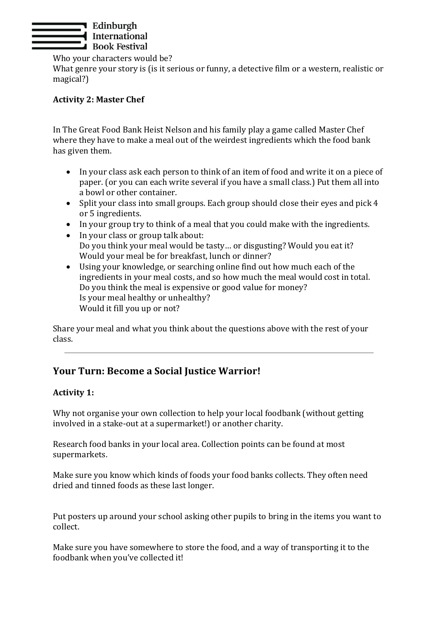

Who your characters would be?

What genre your story is (is it serious or funny, a detective film or a western, realistic or magical?)

# **Activity 2: Master Chef**

In The Great Food Bank Heist Nelson and his family play a game called Master Chef where they have to make a meal out of the weirdest ingredients which the food bank has given them.

- In your class ask each person to think of an item of food and write it on a piece of paper. (or you can each write several if you have a small class.) Put them all into a bowl or other container.
- Split your class into small groups. Each group should close their eyes and pick 4 or 5 ingredients.
- In your group try to think of a meal that you could make with the ingredients.
- In your class or group talk about: Do you think your meal would be tasty… or disgusting? Would you eat it? Would your meal be for breakfast, lunch or dinner?
- Using your knowledge, or searching online find out how much each of the ingredients in your meal costs, and so how much the meal would cost in total. Do you think the meal is expensive or good value for money? Is your meal healthy or unhealthy? Would it fill you up or not?

Share your meal and what you think about the questions above with the rest of your class.

# **Your Turn: Become a Social Justice Warrior!**

# **Activity 1:**

Why not organise your own collection to help your local foodbank (without getting involved in a stake-out at a supermarket!) or another charity.

Research food banks in your local area. Collection points can be found at most supermarkets.

Make sure you know which kinds of foods your food banks collects. They often need dried and tinned foods as these last longer.

Put posters up around your school asking other pupils to bring in the items you want to collect.

Make sure you have somewhere to store the food, and a way of transporting it to the foodbank when you've collected it!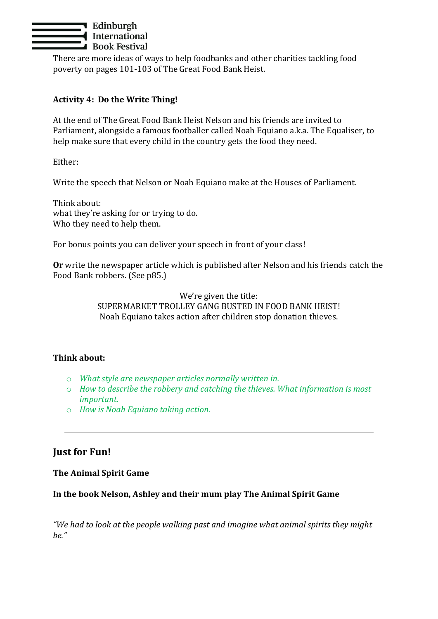

There are more ideas of ways to help foodbanks and other charities tackling food poverty on pages 101-103 of The Great Food Bank Heist.

#### **Activity 4: Do the Write Thing!**

At the end of The Great Food Bank Heist Nelson and his friends are invited to Parliament, alongside a famous footballer called Noah Equiano a.k.a. The Equaliser, to help make sure that every child in the country gets the food they need.

Either:

Write the speech that Nelson or Noah Equiano make at the Houses of Parliament.

Think about: what they're asking for or trying to do. Who they need to help them.

For bonus points you can deliver your speech in front of your class!

**Or** write the newspaper article which is published after Nelson and his friends catch the Food Bank robbers. (See p85.)

> We're given the title: SUPERMARKET TROLLEY GANG BUSTED IN FOOD BANK HEIST! Noah Equiano takes action after children stop donation thieves.

#### **Think about:**

- o *What style are newspaper articles normally written in.*
- o *How to describe the robbery and catching the thieves. What information is most important.*
- o *How is Noah Equiano taking action.*

# **Just for Fun!**

#### **The Animal Spirit Game**

#### **In the book Nelson, Ashley and their mum play The Animal Spirit Game**

*"We had to look at the people walking past and imagine what animal spirits they might be."*